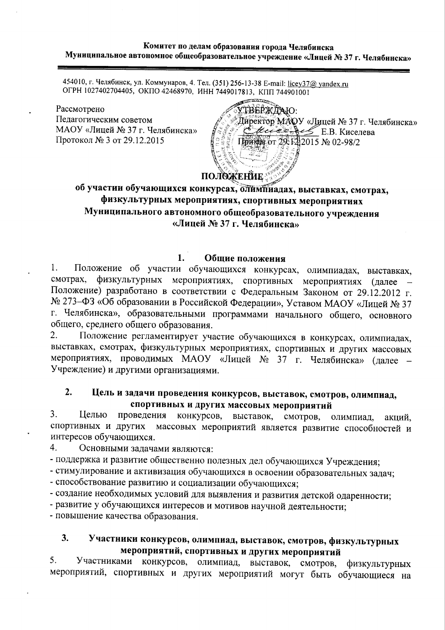## Комитет по делам образования города Челябинска Муниципальное автономное общеобразовательное учреждение «Лицей № 37 г. Челябинска»

454010, г. Челябинск, ул. Коммунаров, 4. Тел. (351) 256-13-38 E-mail: licey37@ yandex.ru ОГРН 1027402704405, ОКПО 42468970, ИНН 7449017813, КПП 744901001

Рассмотрено Педагогическим советом МАОУ «Лицей № 37 г. Челябинска» Протокол № 3 от 29.12.2015

ТВЕРЖДАЮ: Директор МАОУ «Лицей № 37 г. Челябинска»  $\mathcal{H}$  E.B. Киселева Приме от 29. Е2 2015 № 02-98/2

**ПОЛОЖЕНИЕ** 

# об участии обучающихся конкурсах, олимпиадах, выставках, смотрах, физкультурных мероприятиях, спортивных мероприятиях Муниципального автономного общеобразовательного учреждения «Лицей № 37 г. Челябинска»

#### 1. Общие положения

Положение об участии обучающихся конкурсах, олимпиадах, выставках,  $1<sub>1</sub>$ физкультурных мероприятиях, спортивных мероприятиях (далее смотрах, Положение) разработано в соответствии с Федеральным Законом от 29.12.2012 г. № 273-ФЗ «Об образовании в Российской Федерации», Уставом МАОУ «Лицей № 37 г. Челябинска», образовательными программами начального общего, основного общего, среднего общего образования.

Положение регламентирует участие обучающихся в конкурсах, олимпиадах,  $\overline{2}$ . выставках, смотрах, физкультурных мероприятиях, спортивных и других массовых мероприятиях, проводимых МАОУ «Лицей № 37 г. Челябинска» (далее Учреждение) и другими организациями.

### $2.$ Цель и задачи проведения конкурсов, выставок, смотров, олимпиад, спортивных и других массовых мероприятий

 $3<sub>1</sub>$ Целью проведения конкурсов, выставок, смотров, олимпиад. акций. спортивных и других массовых мероприятий является развитие способностей и интересов обучающихся.

 $\overline{4}$ . Основными задачами являются:

- поддержка и развитие общественно полезных дел обучающихся Учреждения;

- стимулирование и активизация обучающихся в освоении образовательных задач;

- способствование развитию и социализации обучающихся;

- создание необходимых условий для выявления и развития детской одаренности;

- развитие у обучающихся интересов и мотивов научной деятельности;

- повышение качества образования.

## $3<sub>1</sub>$ Участники конкурсов, олимпиад, выставок, смотров, физкультурных мероприятий, спортивных и других мероприятий

5. Участниками конкурсов, олимпиад, выставок, смотров, физкультурных мероприятий, спортивных и других мероприятий могут быть обучающиеся на